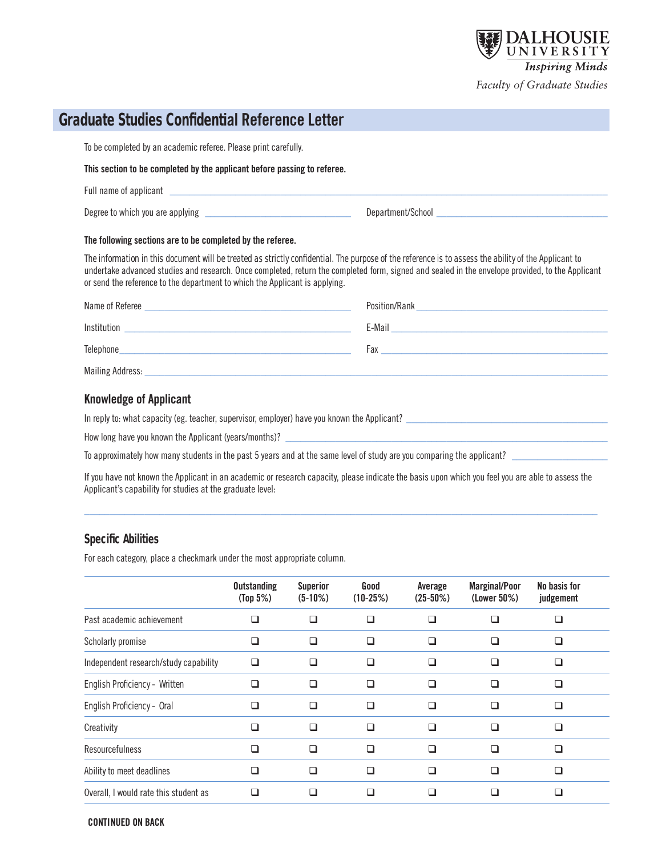

# **Graduate Studies Confidential Reference Letter**

To be completed by an academic referee. Please print carefully.

#### **This section to be completed by the applicant before passing to referee.**

| Degree to which you are applying | Department/School |  |
|----------------------------------|-------------------|--|

#### **The following sections are to be completed by the referee.**

The information in this document will be treated as strictly confidential. The purpose of the reference is to assess the ability of the Applicant to undertake advanced studies and research. Once completed, return the completed form, signed and sealed in the envelope provided, to the Applicant or send the reference to the department to which the Applicant is applying.

| Name of Referee  | Position/Rank |
|------------------|---------------|
| Institution      | E-Mail        |
| Telephone        | Fax           |
| Mailing Address: |               |

## **Knowledge of Applicant**

Full name of applicant

In reply to: what capacity (eg. teacher, supervisor, employer) have you known the Applicant?

How long have you known the Applicant (years/months)?

To approximately how many students in the past 5 years and at the same level of study are you comparing the applicant?

If you have not known the Applicant in an academic or research capacity, please indicate the basis upon which you feel you are able to assess the Applicant's capability for studies at the graduate level:

 $\_$  , and the set of the set of the set of the set of the set of the set of the set of the set of the set of the set of the set of the set of the set of the set of the set of the set of the set of the set of the set of th

## **Specific Abilities**

For each category, place a checkmark under the most appropriate column.

|                                       | <b>Outstanding</b><br>(Top 5%) | <b>Superior</b><br>$(5-10%)$ | Good<br>$(10-25%)$ | Average<br>$(25-50%)$ | <b>Marginal/Poor</b><br>(Lower 50%) | No basis for<br>judgement |  |
|---------------------------------------|--------------------------------|------------------------------|--------------------|-----------------------|-------------------------------------|---------------------------|--|
| Past academic achievement             |                                | - 1                          | П                  | l 1                   |                                     |                           |  |
| Scholarly promise                     | H                              | П                            | П                  | П                     |                                     |                           |  |
| Independent research/study capability | l 1                            | H                            | H                  | H                     |                                     |                           |  |
| English Proficiency - Written         | l 1                            | ◻                            | ⊓                  | H                     |                                     |                           |  |
| English Proficiency - Oral            | H                              | П                            | П                  | П                     |                                     |                           |  |
| Creativity                            |                                | □                            | П                  |                       |                                     |                           |  |
| Resourcefulness                       |                                | H                            | П                  | H                     |                                     |                           |  |
| Ability to meet deadlines             |                                | H                            | ⊔                  | H                     |                                     |                           |  |
| Overall, I would rate this student as |                                |                              |                    |                       |                                     |                           |  |